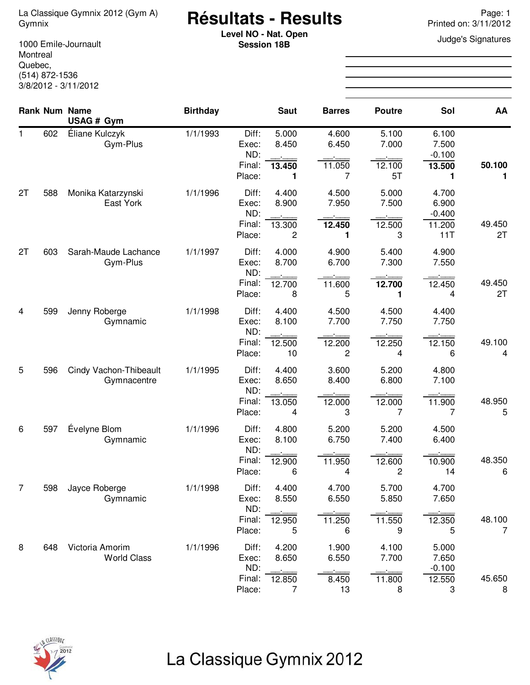# **Résultats - Results** La Classique Gymnix 2012 (Gym A) Page: 1 Gymnix Printed on: 3/11/2012

**Level NO - Nat. Open**<br> **Coopien 19B** Judge's Signatures **Session 18B**

1000 Emile-Journault Montreal Quebec, (514) 872-1536 3/8/2012 - 3/11/2012

|    |     | Rank Num Name<br>USAG # Gym           | <b>Birthday</b> |                                           | <b>Saut</b>                    | <b>Barres</b>                 | <b>Poutre</b>                  | Sol                                         | AA           |
|----|-----|---------------------------------------|-----------------|-------------------------------------------|--------------------------------|-------------------------------|--------------------------------|---------------------------------------------|--------------|
| 1. | 602 | Éliane Kulczyk<br>Gym-Plus            | 1/1/1993        | Diff:<br>Exec:<br>ND:<br>Final:<br>Place: | 5.000<br>8.450<br>13.450<br>1  | 4.600<br>6.450<br>11.050<br>7 | 5.100<br>7.000<br>12.100<br>5T | 6.100<br>7.500<br>$-0.100$<br>13.500<br>1   | 50.100<br>1  |
| 2T | 588 | Monika Katarzynski<br>East York       | 1/1/1996        | Diff:<br>Exec:<br>ND:<br>Final:<br>Place: | 4.400<br>8.900<br>13.300<br>2  | 4.500<br>7.950<br>12.450<br>1 | 5.000<br>7.500<br>12.500<br>3  | 4.700<br>6.900<br>$-0.400$<br>11.200<br>11T | 49.450<br>2T |
| 2T | 603 | Sarah-Maude Lachance<br>Gym-Plus      | 1/1/1997        | Diff:<br>Exec:<br>ND:<br>Final:<br>Place: | 4.000<br>8.700<br>12.700<br>8  | 4.900<br>6.700<br>11.600<br>5 | 5.400<br>7.300<br>12.700<br>1  | 4.900<br>7.550<br>12.450<br>4               | 49.450<br>2T |
| 4  | 599 | Jenny Roberge<br>Gymnamic             | 1/1/1998        | Diff:<br>Exec:<br>ND:<br>Final:<br>Place: | 4.400<br>8.100<br>12.500<br>10 | 4.500<br>7.700<br>12.200<br>2 | 4.500<br>7.750<br>12.250<br>4  | 4.400<br>7.750<br>12.150<br>6               | 49.100<br>4  |
| 5  | 596 | Cindy Vachon-Thibeault<br>Gymnacentre | 1/1/1995        | Diff:<br>Exec:<br>ND:<br>Final:<br>Place: | 4.400<br>8.650<br>13.050<br>4  | 3.600<br>8.400<br>12.000<br>3 | 5.200<br>6.800<br>12.000<br>7  | 4.800<br>7.100<br>11.900<br>7               | 48.950<br>5  |
| 6  | 597 | Évelyne Blom<br>Gymnamic              | 1/1/1996        | Diff:<br>Exec:<br>ND:<br>Final:<br>Place: | 4.800<br>8.100<br>12.900<br>6  | 5.200<br>6.750<br>11.950<br>4 | 5.200<br>7.400<br>12.600<br>2  | 4.500<br>6.400<br>10.900<br>14              | 48.350<br>6  |
| 7  | 598 | Jayce Roberge<br>Gymnamic             | 1/1/1998        | Diff:<br>Exec:<br>ND:<br>Final:<br>Place: | 4.400<br>8.550<br>12.950<br>5  | 4.700<br>6.550<br>11.250<br>6 | 5.700<br>5.850<br>11.550<br>9  | 4.700<br>7.650<br>12.350<br>5               | 48.100<br>7  |
| 8  | 648 | Victoria Amorim<br><b>World Class</b> | 1/1/1996        | Diff:<br>Exec:<br>ND:<br>Final:<br>Place: | 4.200<br>8.650<br>12.850<br>7  | 1.900<br>6.550<br>8.450<br>13 | 4.100<br>7.700<br>11.800<br>8  | 5.000<br>7.650<br>$-0.100$<br>12.550<br>3   | 45.650<br>8  |



# La Classique Gymnix 2012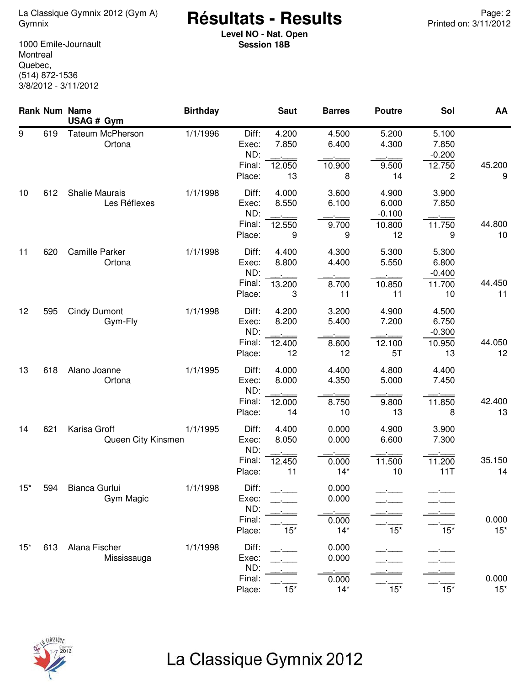#### **Résultats - Results** La Classique Gymnix 2012 (Gym A) Page: 2 Gymnix Printed on: 3/11/2012

**Level NO - Nat. Open Session 18B**

1000 Emile-Journault **Montreal** Quebec, (514) 872-1536 3/8/2012 - 3/11/2012

|       |     | <b>Rank Num Name</b><br>USAG # Gym    | <b>Birthday</b> |                                           | <b>Saut</b>                    | <b>Barres</b>                    | <b>Poutre</b>                              | Sol                                        | AA              |
|-------|-----|---------------------------------------|-----------------|-------------------------------------------|--------------------------------|----------------------------------|--------------------------------------------|--------------------------------------------|-----------------|
| 9     | 619 | <b>Tateum McPherson</b><br>Ortona     | 1/1/1996        | Diff:<br>Exec:<br>ND:<br>Final:<br>Place: | 4.200<br>7.850<br>12.050<br>13 | 4.500<br>6.400<br>10.900<br>8    | 5.200<br>4.300<br>9.500<br>14              | 5.100<br>7.850<br>$-0.200$<br>12.750<br>2  | 45.200<br>9     |
| 10    | 612 | <b>Shalie Maurais</b><br>Les Réflexes | 1/1/1998        | Diff:<br>Exec:<br>ND:<br>Final:<br>Place: | 4.000<br>8.550<br>12.550<br>9  | 3.600<br>6.100<br>9.700<br>9     | 4.900<br>6.000<br>$-0.100$<br>10.800<br>12 | 3.900<br>7.850<br>11.750<br>9              | 44.800<br>10    |
| 11    | 620 | Camille Parker<br>Ortona              | 1/1/1998        | Diff:<br>Exec:<br>ND:<br>Final:<br>Place: | 4.400<br>8.800<br>13.200<br>3  | 4.300<br>4.400<br>8.700<br>11    | 5.300<br>5.550<br>10.850<br>11             | 5.300<br>6.800<br>$-0.400$<br>11.700<br>10 | 44.450<br>11    |
| 12    | 595 | <b>Cindy Dumont</b><br>Gym-Fly        | 1/1/1998        | Diff:<br>Exec:<br>ND:<br>Final:<br>Place: | 4.200<br>8.200<br>12.400<br>12 | 3.200<br>5.400<br>8.600<br>12    | 4.900<br>7.200<br>12.100<br>5T             | 4.500<br>6.750<br>$-0.300$<br>10.950<br>13 | 44.050<br>12    |
| 13    | 618 | Alano Joanne<br>Ortona                | 1/1/1995        | Diff:<br>Exec:<br>ND:<br>Final:<br>Place: | 4.000<br>8.000<br>12.000<br>14 | 4.400<br>4.350<br>8.750<br>10    | 4.800<br>5.000<br>9.800<br>13              | 4.400<br>7.450<br>11.850<br>8              | 42.400<br>13    |
| 14    | 621 | Karisa Groff<br>Queen City Kinsmen    | 1/1/1995        | Diff:<br>Exec:<br>ND:<br>Final:<br>Place: | 4.400<br>8.050<br>12.450<br>11 | 0.000<br>0.000<br>0.000<br>$14*$ | 4.900<br>6.600<br>11.500<br>10             | 3.900<br>7.300<br>11.200<br>11T            | 35.150<br>14    |
| $15*$ | 594 | Bianca Gurlui<br>Gym Magic            | 1/1/1998        | Diff:<br>Exec:<br>ND:<br>Final:<br>Place: | $15*$                          | 0.000<br>0.000<br>0.000<br>$14*$ | $15*$                                      | $15*$                                      | 0.000<br>$15*$  |
| $15*$ | 613 | Alana Fischer<br>Mississauga          | 1/1/1998        | Diff:<br>Exec:<br>ND:<br>Final:<br>Place: | $15*$                          | 0.000<br>0.000<br>0.000<br>$14*$ | $15*$                                      | $15*$                                      | 0.000<br>$15^*$ |



# La Classique Gymnix 2012